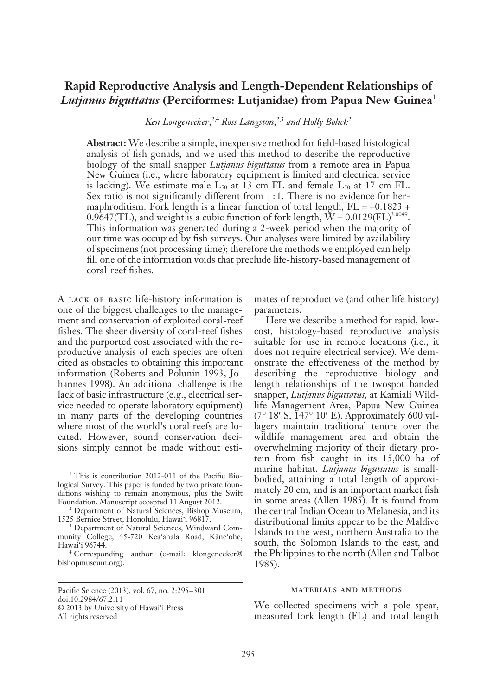# **Rapid Reproductive Analysis and Length-Dependent Relationships of**  *Lutjanus biguttatus* **( Perciformes: Lutjanidae) from Papua New Guinea**<sup>1</sup>

*Ken Longenecker*, 2,4 *Ross Langston*, 2,3 *and Holly Bolick* <sup>2</sup>

**Abstract:** We describe a simple, inexpensive method for field-based histological analysis of fish gonads, and we used this method to describe the reproductive biology of the small snapper *Lutjanus biguttatus* from a remote area in Papua New Guinea (i.e., where laboratory equipment is limited and electrical service is lacking). We estimate male  $L_{50}$  at 13 cm FL and female  $L_{50}$  at 17 cm FL. Sex ratio is not significantly different from  $1:1$ . There is no evidence for hermaphroditism. Fork length is a linear function of total length,  $FL = -0.1823 +$ 0.9647(TL), and weight is a cubic function of fork length,  $\tilde{W} = 0.0129(FL)^{3.0049}$ . This information was generated during a 2-week period when the majority of our time was occupied by fish surveys. Our analyses were limited by availability of specimens (not processing time); therefore the methods we employed can help fill one of the information voids that preclude life-history-based management of coral-reef fishes.

A lack of basic life-history information is one of the biggest challenges to the management and conservation of exploited coral-reef fishes. The sheer diversity of coral-reef fishes and the purported cost associated with the reproductive analysis of each species are often cited as obstacles to obtaining this important information (Roberts and Polunin 1993, Johannes 1998). An additional challenge is the lack of basic infrastructure (e.g., electrical service needed to operate laboratory equipment) in many parts of the developing countries where most of the world's coral reefs are located. However, sound conservation decisions simply cannot be made without estimates of reproductive (and other life history) parameters.

Here we describe a method for rapid, lowcost, histology-based reproductive analysis suitable for use in remote locations (i.e., it does not require electrical service). We demonstrate the effectiveness of the method by describing the reproductive biology and length relationships of the twospot banded snapper, *Lutjanus biguttatus,* at Kamiali Wildlife Management Area, Papua New Guinea (7° 18′ S, 147° 10′ E). Approximately 600 villagers maintain traditional tenure over the wildlife management area and obtain the overwhelming majority of their dietary protein from fish caught in its 15,000 ha of marine habitat. *Lutjanus biguttatus* is smallbodied, attaining a total length of approximately 20 cm, and is an important market fish in some areas (Allen 1985). It is found from the central Indian Ocean to Melanesia, and its distributional limits appear to be the Maldive Islands to the west, northern Australia to the south, the Solomon Islands to the east, and the Philippines to the north (Allen and Talbot 1985).

## materials and methods

We collected specimens with a pole spear, measured fork length (FL) and total length

<sup>&</sup>lt;sup>1</sup> This is contribution 2012-011 of the Pacific Biological Survey. This paper is funded by two private foundations wishing to remain anonymous, plus the Swift Foundation. Manuscript accepted 11 August 2012.

<sup>2</sup> Department of Natural Sciences, Bishop Museum, 1525 Bernice Street, Honolulu, Hawai'i 96817.

<sup>3</sup> Department of Natural Sciences, Windward Community College, 45-720 Kea'ahala Road, Käne'ohe, Hawai'i 96744.

<sup>4</sup> Corresponding author (e-mail: klongenecker@ bishopmuseum.org).

Pacific Science (2013), vol. 67, no. 2:295 – 301 doi:10.2984/67.2.11 © 2013 by University of Hawai'i Press All rights reserved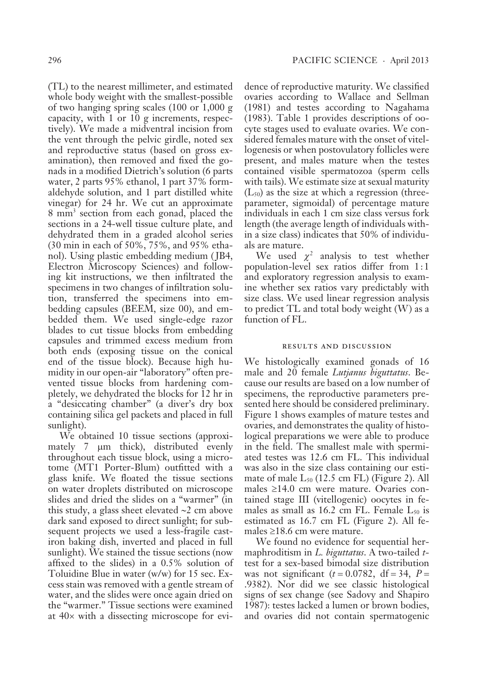(TL) to the nearest millimeter, and estimated whole body weight with the smallest-possible of two hanging spring scales (100 or 1,000 g capacity, with 1 or 10 g increments, respectively). We made a midventral incision from the vent through the pelvic girdle, noted sex and reproductive status ( based on gross examination), then removed and fixed the gonads in a modified Dietrich's solution (6 parts water, 2 parts 95% ethanol, 1 part 37% formaldehyde solution, and 1 part distilled white vinegar) for 24 hr. We cut an approximate 8 mm<sup>3</sup> section from each gonad, placed the sections in a 24-well tissue culture plate, and dehydrated them in a graded alcohol series (30 min in each of 50%, 75%, and 95% ethanol). Using plastic embedding medium ( JB4, Electron Microscopy Sciences) and following kit instructions, we then infiltrated the specimens in two changes of infiltration solution, transferred the specimens into embedding capsules (BEEM, size 00), and embedded them. We used single-edge razor blades to cut tissue blocks from embedding capsules and trimmed excess medium from both ends (exposing tissue on the conical end of the tissue block). Because high humidity in our open-air "laboratory" often prevented tissue blocks from hardening completely, we dehydrated the blocks for 12 hr in a "desiccating chamber" (a diver's dry box containing silica gel packets and placed in full sunlight).

We obtained 10 tissue sections (approximately 7 μm thick), distributed evenly throughout each tissue block, using a microtome (MT1 Porter-Blum) outfitted with a glass knife. We floated the tissue sections on water droplets distributed on microscope slides and dried the slides on a "warmer" (in this study, a glass sheet elevated ∼2 cm above dark sand exposed to direct sunlight; for subsequent projects we used a less-fragile castiron baking dish, inverted and placed in full sunlight). We stained the tissue sections (now affixed to the slides) in a 0.5% solution of Toluidine Blue in water (w/w) for 15 sec. Excess stain was removed with a gentle stream of water, and the slides were once again dried on the "warmer." Tissue sections were examined at 40× with a dissecting microscope for evidence of reproductive maturity. We classified ovaries according to Wallace and Sellman (1981) and testes according to Nagahama (1983). Table 1 provides descriptions of oocyte stages used to evaluate ovaries. We considered females mature with the onset of vitellogenesis or when postovulatory follicles were present, and males mature when the testes contained visible spermatozoa (sperm cells with tails). We estimate size at sexual maturity  $(L_{50})$  as the size at which a regression (threeparameter, sigmoidal) of percentage mature individuals in each 1 cm size class versus fork length (the average length of individuals within a size class) indicates that 50% of individuals are mature.

We used  $\chi^2$  analysis to test whether population-level sex ratios differ from 1 : 1 and exploratory regression analysis to examine whether sex ratios vary predictably with size class. We used linear regression analysis to predict  $TL$  and total body weight  $(W)$  as a function of FL.

#### results and discussion

We histologically examined gonads of 16 male and 20 female *Lutjanus biguttatus*. Because our results are based on a low number of specimens, the reproductive parameters presented here should be considered preliminary. Figure 1 shows examples of mature testes and ovaries, and demonstrates the quality of histological preparations we were able to produce in the field. The smallest male with spermiated testes was 12.6 cm FL. This individual was also in the size class containing our estimate of male  $L_{50}$  (12.5 cm FL) (Figure 2). All males ≥14.0 cm were mature. Ovaries contained stage III (vitellogenic) oocytes in females as small as  $16.2 \text{ cm} \text{ FL}$ . Female  $L_{50}$  is estimated as 16.7 cm FL (Figure 2). All females ≥18.6 cm were mature.

We found no evidence for sequential hermaphroditism in *L. biguttatus*. A two-tailed *t*test for a sex-based bimodal size distribution was not significant  $(t = 0.0782, df = 34, P =$ .9382). Nor did we see classic histological signs of sex change (see Sadovy and Shapiro 1987): testes lacked a lumen or brown bodies, and ovaries did not contain spermatogenic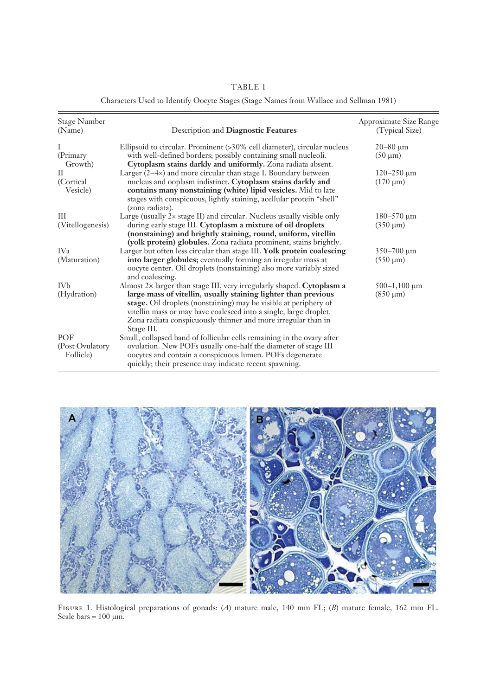| <b>Stage Number</b><br>(Name)       | Description and Diagnostic Features                                                                                                                                                                                                                                                    | Approximate Size Range<br>(Typical Size) |
|-------------------------------------|----------------------------------------------------------------------------------------------------------------------------------------------------------------------------------------------------------------------------------------------------------------------------------------|------------------------------------------|
| Ι                                   | Ellipsoid to circular. Prominent (>30% cell diameter), circular nucleus                                                                                                                                                                                                                | $20 - 80 \mu m$                          |
| (Primary<br>Growth)                 | with well-defined borders; possibly containing small nucleoli.<br>Cytoplasm stains darkly and uniformly. Zona radiata absent.                                                                                                                                                          | $(50 \mu m)$                             |
| П                                   | Larger $(2-4x)$ and more circular than stage I. Boundary between                                                                                                                                                                                                                       | $120 - 250 \mu m$                        |
| (Cortical<br>Vesicle)               | nucleus and ooplasm indistinct. Cytoplasm stains darkly and<br>contains many nonstaining (white) lipid vesicles. Mid to late<br>stages with conspicuous, lightly staining, acellular protein "shell"<br>(zona radiata).                                                                | $(170 \mu m)$                            |
| Ш                                   | Large (usually $2\times$ stage II) and circular. Nucleus usually visible only                                                                                                                                                                                                          | $180 - 570 \text{ µm}$                   |
| (Vitellogenesis)                    | during early stage III. Cytoplasm a mixture of oil droplets<br>(nonstaining) and brightly staining, round, uniform, vitellin<br>(yolk protein) globules. Zona radiata prominent, stains brightly.                                                                                      | $(350 \text{ }\mu\text{m})$              |
| IV <sub>a</sub>                     | Larger but often less circular than stage III. Yolk protein coalescing                                                                                                                                                                                                                 | $350 - 700 \mu m$                        |
| (Maturation)                        | into larger globules; eventually forming an irregular mass at<br>oocyte center. Oil droplets (nonstaining) also more variably sized<br>and coalescing.                                                                                                                                 | $(550 \text{ }\mu\text{m})$              |
| <b>IV<sub>b</sub></b>               | Almost $2\times$ larger than stage III, very irregularly shaped. Cytoplasm a                                                                                                                                                                                                           | $500 - 1,100 \mu m$                      |
| (Hydration)                         | large mass of vitellin, usually staining lighter than previous<br>stage. Oil droplets (nonstaining) may be visible at periphery of<br>vitellin mass or may have coalesced into a single, large droplet.<br>Zona radiata conspicuously thinner and more irregular than in<br>Stage III. | $(850 \mu m)$                            |
| POF<br>(Post Ovulatory<br>Follicle) | Small, collapsed band of follicular cells remaining in the ovary after<br>ovulation. New POFs usually one-half the diameter of stage III<br>oocytes and contain a conspicuous lumen. POFs degenerate<br>quickly; their presence may indicate recent spawning.                          |                                          |

TABLE 1

Characters Used to Identify Oocyte Stages (Stage Names from Wallace and Sellman 1981)



Figure 1. Histological preparations of gonads: (*A*) mature male, 140 mm FL; (*B*) mature female, 162 mm FL. Scale bars =  $100 \mu m$ .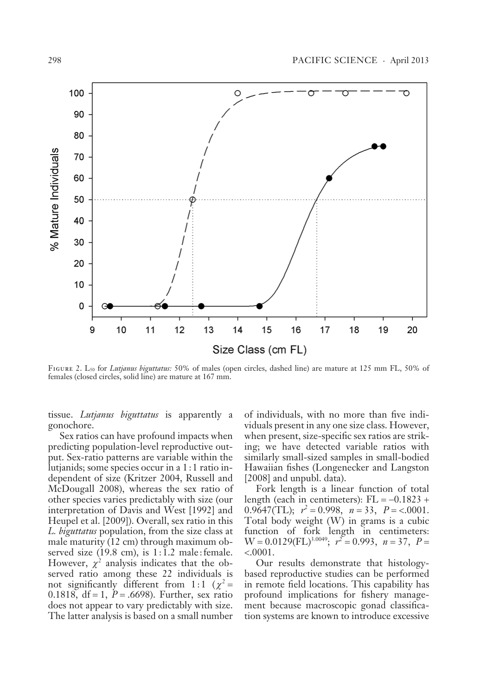

Figure 2. L50 for *Lutjanus biguttatus:* 50% of males (open circles, dashed line) are mature at 125 mm FL, 50% of females (closed circles, solid line) are mature at 167 mm.

tissue. *Lutjanus biguttatus* is apparently a gonochore.

Sex ratios can have profound impacts when predicting population-level reproductive output. Sex-ratio patterns are variable within the lutjanids; some species occur in a 1 : 1 ratio independent of size (Kritzer 2004, Russell and McDougall 2008), whereas the sex ratio of other species varies predictably with size (our interpretation of Davis and West [1992] and Heupel et al. [2009]). Overall, sex ratio in this *L. biguttatus* population, from the size class at male maturity (12 cm) through maximum observed size (19.8 cm), is  $1:\overline{1}.2$  male: female. However,  $\chi^2$  analysis indicates that the observed ratio among these 22 individuals is not significantly different from 1:1 ( $\chi^2$  = 0.1818, df = 1, *P* = .6698). Further, sex ratio does not appear to vary predictably with size. The latter analysis is based on a small number of individuals, with no more than five individuals present in any one size class. However, when present, size-specific sex ratios are striking; we have detected variable ratios with similarly small-sized samples in small-bodied Hawaiian fishes (Longenecker and Langston [2008] and unpubl. data).

Fork length is a linear function of total length (each in centimeters):  $FL = -0.1823 +$ 0.9647(TL);  $r^2 = 0.998$ ,  $n = 33$ ,  $P = <.0001$ . Total body weight  $(W)$  in grams is a cubic function of fork length in centimeters:  $W = 0.0129\times EL^{3.0049}; r^2 = 0.993, n = 37, P =$  $< .0001.$ 

Our results demonstrate that histologybased reproductive studies can be performed in remote field locations. This capability has profound implications for fishery management because macroscopic gonad classification systems are known to introduce excessive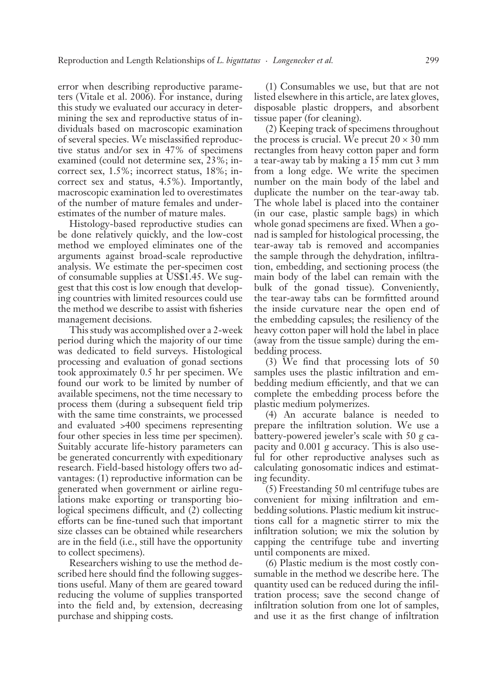error when describing reproductive parameters ( Vitale et al. 2006). For instance, during this study we evaluated our accuracy in determining the sex and reproductive status of individuals based on macroscopic examination of several species. We misclassified reproductive status and /or sex in 47% of specimens examined (could not determine sex, 23%; incorrect sex, 1.5%; incorrect status, 18%; incorrect sex and status, 4.5%). Importantly, macroscopic examination led to overestimates of the number of mature females and underestimates of the number of mature males.

Histology-based reproductive studies can be done relatively quickly, and the low-cost method we employed eliminates one of the arguments against broad-scale reproductive analysis. We estimate the per-specimen cost of consumable supplies at US\$1.45. We suggest that this cost is low enough that developing countries with limited resources could use the method we describe to assist with fisheries management decisions.

This study was accomplished over a 2-week period during which the majority of our time was dedicated to field surveys. Histological processing and evaluation of gonad sections took approximately 0.5 hr per specimen. We found our work to be limited by number of available specimens, not the time necessary to process them (during a subsequent field trip with the same time constraints, we processed and evaluated >400 specimens representing four other species in less time per specimen). Suitably accurate life-history parameters can be generated concurrently with expeditionary research. Field-based histology offers two advantages: (1) reproductive information can be generated when government or airline regulations make exporting or transporting biological specimens difficult, and (2) collecting efforts can be fine-tuned such that important size classes can be obtained while researchers are in the field (i.e., still have the opportunity to collect specimens).

Researchers wishing to use the method described here should find the following suggestions useful. Many of them are geared toward reducing the volume of supplies transported into the field and, by extension, decreasing purchase and shipping costs.

(1) Consumables we use, but that are not listed elsewhere in this article, are latex gloves, disposable plastic droppers, and absorbent tissue paper (for cleaning).

(2) Keeping track of specimens throughout the process is crucial. We precut  $20 \times 30$  mm rectangles from heavy cotton paper and form a tear-away tab by making a 15 mm cut 3 mm from a long edge. We write the specimen number on the main body of the label and duplicate the number on the tear-away tab. The whole label is placed into the container (in our case, plastic sample bags) in which whole gonad specimens are fixed. When a gonad is sampled for histological processing, the tear-away tab is removed and accompanies the sample through the dehydration, infiltration, embedding, and sectioning process (the main body of the label can remain with the bulk of the gonad tissue). Conveniently, the tear-away tabs can be formfitted around the inside curvature near the open end of the embedding capsules; the resiliency of the heavy cotton paper will hold the label in place (away from the tissue sample) during the embedding process.

(3) We find that processing lots of 50 samples uses the plastic infiltration and embedding medium efficiently, and that we can complete the embedding process before the plastic medium polymerizes.

(4) An accurate balance is needed to prepare the infiltration solution. We use a battery-powered jeweler's scale with 50 g capacity and 0.001 g accuracy. This is also useful for other reproductive analyses such as calculating gonosomatic indices and estimating fecundity.

(5) Freestanding 50 ml centrifuge tubes are convenient for mixing infiltration and embedding solutions. Plastic medium kit instructions call for a magnetic stirrer to mix the infiltration solution; we mix the solution by capping the centrifuge tube and inverting until components are mixed.

(6) Plastic medium is the most costly consumable in the method we describe here. The quantity used can be reduced during the infiltration process; save the second change of infiltration solution from one lot of samples, and use it as the first change of infiltration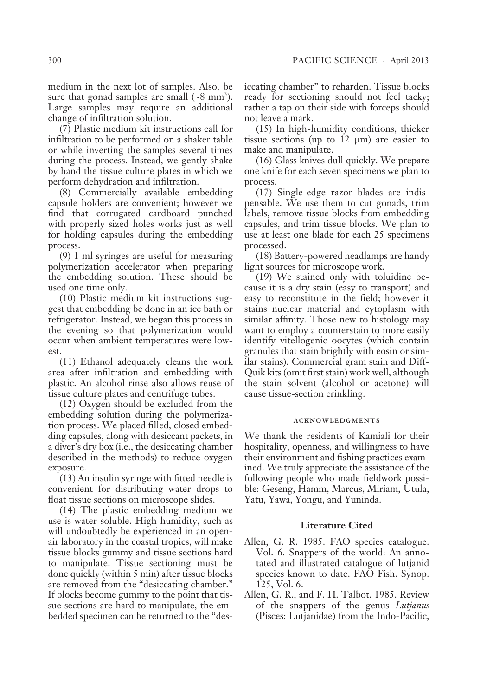medium in the next lot of samples. Also, be sure that gonad samples are small (~8 mm<sup>3</sup>). Large samples may require an additional change of infiltration solution.

(7) Plastic medium kit instructions call for infiltration to be performed on a shaker table or while inverting the samples several times during the process. Instead, we gently shake by hand the tissue culture plates in which we perform dehydration and infiltration.

(8) Commercially available embedding capsule holders are convenient; however we find that corrugated cardboard punched with properly sized holes works just as well for holding capsules during the embedding process.

(9) 1 ml syringes are useful for measuring polymerization accelerator when preparing the embedding solution. These should be used one time only.

(10) Plastic medium kit instructions suggest that embedding be done in an ice bath or refrigerator. Instead, we began this process in the evening so that polymerization would occur when ambient temperatures were lowest.

(11) Ethanol adequately cleans the work area after infiltration and embedding with plastic. An alcohol rinse also allows reuse of tissue culture plates and centrifuge tubes.

(12) Oxygen should be excluded from the embedding solution during the polymerization process. We placed filled, closed embedding capsules, along with desiccant packets, in a diver's dry box (i.e., the desiccating chamber described in the methods) to reduce oxygen exposure.

(13) An insulin syringe with fitted needle is convenient for distributing water drops to float tissue sections on microscope slides.

(14) The plastic embedding medium we use is water soluble. High humidity, such as will undoubtedly be experienced in an openair laboratory in the coastal tropics, will make tissue blocks gummy and tissue sections hard to manipulate. Tissue sectioning must be done quickly (within 5 min) after tissue blocks are removed from the "desiccating chamber." If blocks become gummy to the point that tissue sections are hard to manipulate, the embedded specimen can be returned to the "desiccating chamber" to reharden. Tissue blocks ready for sectioning should not feel tacky; rather a tap on their side with forceps should not leave a mark.

(15) In high-humidity conditions, thicker tissue sections (up to 12 μm) are easier to make and manipulate.

(16) Glass knives dull quickly. We prepare one knife for each seven specimens we plan to process.

(17) Single-edge razor blades are indispensable. We use them to cut gonads, trim labels, remove tissue blocks from embedding capsules, and trim tissue blocks. We plan to use at least one blade for each 25 specimens processed.

(18) Battery-powered headlamps are handy light sources for microscope work.

(19) We stained only with toluidine because it is a dry stain (easy to transport) and easy to reconstitute in the field; however it stains nuclear material and cytoplasm with similar affinity. Those new to histology may want to employ a counterstain to more easily identify vitellogenic oocytes (which contain granules that stain brightly with eosin or similar stains). Commercial gram stain and Diff-Quik kits (omit first stain) work well, although the stain solvent (alcohol or acetone) will cause tissue-section crinkling.

## acknowledgments

We thank the residents of Kamiali for their hospitality, openness, and willingness to have their environment and fishing practices examined. We truly appreciate the assistance of the following people who made fieldwork possible: Geseng, Hamm, Marcus, Miriam, Utula, Yatu, Yawa, Yongu, and Yuninda.

## **Literature Cited**

- Allen, G. R. 1985. FAO species catalogue. Vol. 6. Snappers of the world: An annotated and illustrated catalogue of lutjanid species known to date. FAO Fish. Synop. 125, Vol. 6.
- Allen, G. R., and F. H. Talbot. 1985. Review of the snappers of the genus *Lutjanus* (Pisces: Lutjanidae) from the Indo-Pacific,